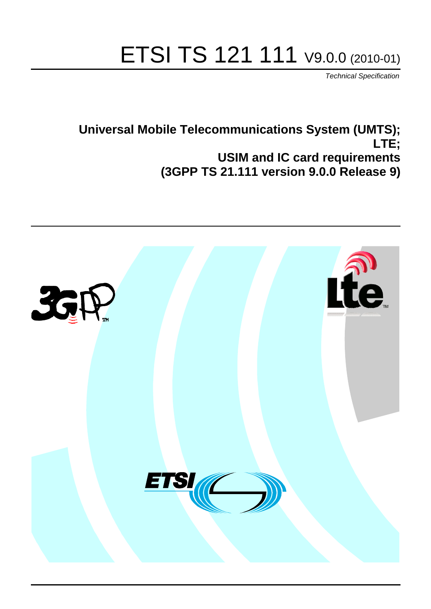# ETSI TS 121 111 V9.0.0 (2010-01)

*Technical Specification*

# **Universal Mobile Telecommunications System (UMTS); LTE; USIM and IC card requirements (3GPP TS 21.111 version 9.0.0 Release 9)**

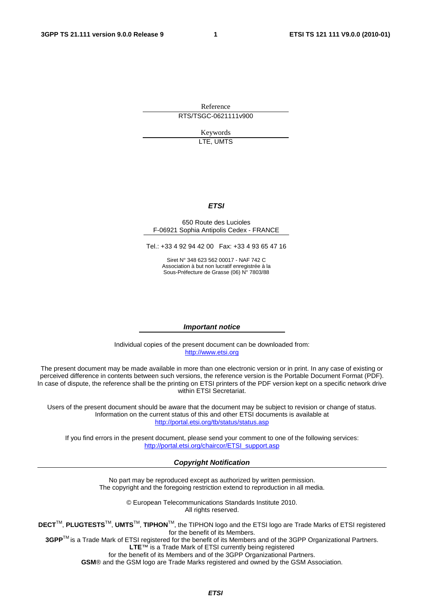Reference RTS/TSGC-0621111v900

> Keywords LTE, UMTS

#### *ETSI*

#### 650 Route des Lucioles F-06921 Sophia Antipolis Cedex - FRANCE

Tel.: +33 4 92 94 42 00 Fax: +33 4 93 65 47 16

Siret N° 348 623 562 00017 - NAF 742 C Association à but non lucratif enregistrée à la Sous-Préfecture de Grasse (06) N° 7803/88

#### *Important notice*

Individual copies of the present document can be downloaded from: [http://www.etsi.org](http://www.etsi.org/)

The present document may be made available in more than one electronic version or in print. In any case of existing or perceived difference in contents between such versions, the reference version is the Portable Document Format (PDF). In case of dispute, the reference shall be the printing on ETSI printers of the PDF version kept on a specific network drive within ETSI Secretariat.

Users of the present document should be aware that the document may be subject to revision or change of status. Information on the current status of this and other ETSI documents is available at <http://portal.etsi.org/tb/status/status.asp>

If you find errors in the present document, please send your comment to one of the following services: [http://portal.etsi.org/chaircor/ETSI\\_support.asp](http://portal.etsi.org/chaircor/ETSI_support.asp)

#### *Copyright Notification*

No part may be reproduced except as authorized by written permission. The copyright and the foregoing restriction extend to reproduction in all media.

> © European Telecommunications Standards Institute 2010. All rights reserved.

**DECT**TM, **PLUGTESTS**TM, **UMTS**TM, **TIPHON**TM, the TIPHON logo and the ETSI logo are Trade Marks of ETSI registered for the benefit of its Members.

**3GPP**TM is a Trade Mark of ETSI registered for the benefit of its Members and of the 3GPP Organizational Partners. **LTE**™ is a Trade Mark of ETSI currently being registered

for the benefit of its Members and of the 3GPP Organizational Partners.

**GSM**® and the GSM logo are Trade Marks registered and owned by the GSM Association.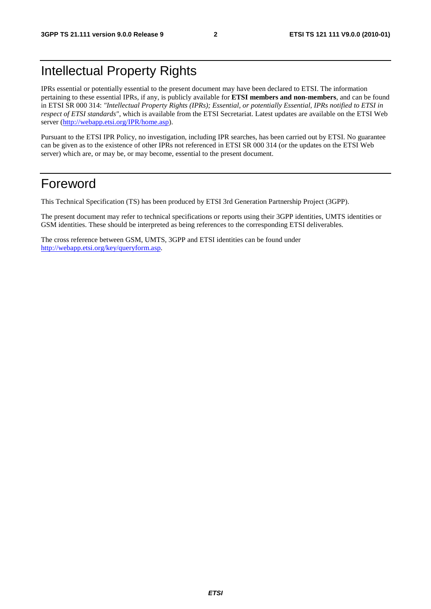# Intellectual Property Rights

IPRs essential or potentially essential to the present document may have been declared to ETSI. The information pertaining to these essential IPRs, if any, is publicly available for **ETSI members and non-members**, and can be found in ETSI SR 000 314: *"Intellectual Property Rights (IPRs); Essential, or potentially Essential, IPRs notified to ETSI in respect of ETSI standards"*, which is available from the ETSI Secretariat. Latest updates are available on the ETSI Web server ([http://webapp.etsi.org/IPR/home.asp\)](http://webapp.etsi.org/IPR/home.asp).

Pursuant to the ETSI IPR Policy, no investigation, including IPR searches, has been carried out by ETSI. No guarantee can be given as to the existence of other IPRs not referenced in ETSI SR 000 314 (or the updates on the ETSI Web server) which are, or may be, or may become, essential to the present document.

### Foreword

This Technical Specification (TS) has been produced by ETSI 3rd Generation Partnership Project (3GPP).

The present document may refer to technical specifications or reports using their 3GPP identities, UMTS identities or GSM identities. These should be interpreted as being references to the corresponding ETSI deliverables.

The cross reference between GSM, UMTS, 3GPP and ETSI identities can be found under [http://webapp.etsi.org/key/queryform.asp.](http://webapp.etsi.org/key/queryform.asp)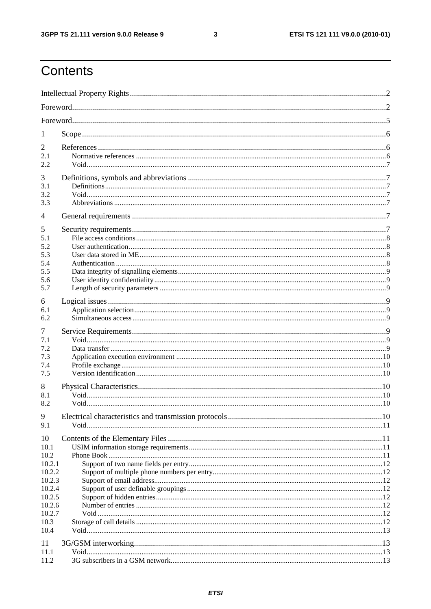$\mathbf{3}$ 

# Contents

| 1                                                  |  |  |  |  |  |  |
|----------------------------------------------------|--|--|--|--|--|--|
| 2<br>2.1<br>2.2                                    |  |  |  |  |  |  |
| 3<br>3.1<br>3.2<br>3.3                             |  |  |  |  |  |  |
| $\overline{4}$                                     |  |  |  |  |  |  |
| 5<br>5.1<br>5.2<br>5.3<br>5.4<br>5.5<br>5.6<br>5.7 |  |  |  |  |  |  |
| 6<br>6.1<br>6.2                                    |  |  |  |  |  |  |
| 7<br>7.1<br>7.2<br>7.3<br>7.4<br>7.5               |  |  |  |  |  |  |
| 8<br>8.1<br>8.2<br>9                               |  |  |  |  |  |  |
| 9.1                                                |  |  |  |  |  |  |
| 10<br>10.1<br>10.2<br>10.2.1                       |  |  |  |  |  |  |
| 10.2.2<br>10.2.3<br>10.2.4<br>10.2.5<br>10.2.6     |  |  |  |  |  |  |
| 10.2.7<br>10.3<br>10.4                             |  |  |  |  |  |  |
| 11<br>11.1<br>11.2                                 |  |  |  |  |  |  |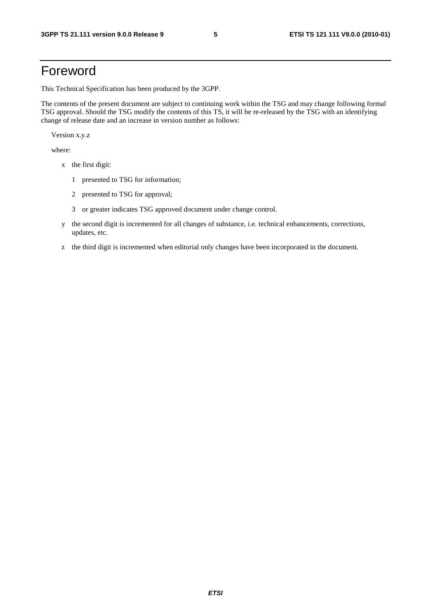# Foreword

This Technical Specification has been produced by the 3GPP.

The contents of the present document are subject to continuing work within the TSG and may change following formal TSG approval. Should the TSG modify the contents of this TS, it will be re-released by the TSG with an identifying change of release date and an increase in version number as follows:

Version x.y.z

where:

- x the first digit:
	- 1 presented to TSG for information;
	- 2 presented to TSG for approval;
	- 3 or greater indicates TSG approved document under change control.
- y the second digit is incremented for all changes of substance, i.e. technical enhancements, corrections, updates, etc.
- z the third digit is incremented when editorial only changes have been incorporated in the document.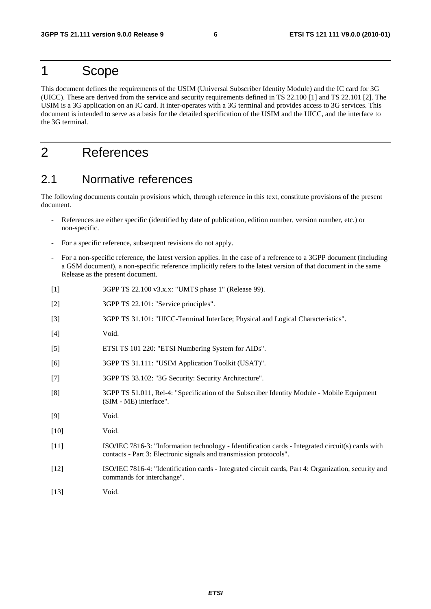### 1 Scope

This document defines the requirements of the USIM (Universal Subscriber Identity Module) and the IC card for 3G (UICC). These are derived from the service and security requirements defined in TS 22.100 [1] and TS 22.101 [2]. The USIM is a 3G application on an IC card. It inter-operates with a 3G terminal and provides access to 3G services. This document is intended to serve as a basis for the detailed specification of the USIM and the UICC, and the interface to the 3G terminal.

# 2 References

### 2.1 Normative references

The following documents contain provisions which, through reference in this text, constitute provisions of the present document.

- References are either specific (identified by date of publication, edition number, version number, etc.) or non-specific.
- For a specific reference, subsequent revisions do not apply.
- For a non-specific reference, the latest version applies. In the case of a reference to a 3GPP document (including a GSM document), a non-specific reference implicitly refers to the latest version of that document in the same Release as the present document.
- [1] 3GPP TS 22.100 v3.x.x: "UMTS phase 1" (Release 99).
- [2] 3GPP TS 22.101: "Service principles".
- [3] 3GPP TS 31.101: "UICC-Terminal Interface; Physical and Logical Characteristics".
- [4] Void.
- [5] ETSI TS 101 220: "ETSI Numbering System for AIDs".
- [6] 3GPP TS 31.111: "USIM Application Toolkit (USAT)".
- [7] 3GPP TS 33.102: "3G Security: Security Architecture".
- [8] 3GPP TS 51.011, Rel-4: "Specification of the Subscriber Identity Module Mobile Equipment (SIM - ME) interface".
- [9] Void.
- [10] **Void.**
- [11] ISO/IEC 7816-3: "Information technology Identification cards Integrated circuit(s) cards with contacts - Part 3: Electronic signals and transmission protocols".
- [12] ISO/IEC 7816-4: "Identification cards Integrated circuit cards, Part 4: Organization, security and commands for interchange".
- [13] **Void.**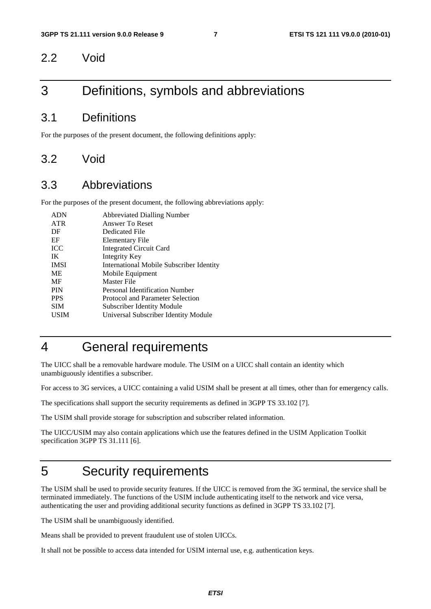### 2.2 Void

# 3 Definitions, symbols and abbreviations

### 3.1 Definitions

For the purposes of the present document, the following definitions apply:

### 3.2 Void

### 3.3 Abbreviations

For the purposes of the present document, the following abbreviations apply:

| <b>ADN</b>  | <b>Abbreviated Dialling Number</b>              |
|-------------|-------------------------------------------------|
| <b>ATR</b>  | Answer To Reset                                 |
| DF          | Dedicated File                                  |
| EF          | Elementary File                                 |
| <b>ICC</b>  | <b>Integrated Circuit Card</b>                  |
| IK          | Integrity Key                                   |
| <b>IMSI</b> | <b>International Mobile Subscriber Identity</b> |
| <b>ME</b>   | Mobile Equipment                                |
| MF          | Master File                                     |
| <b>PIN</b>  | Personal Identification Number                  |
| <b>PPS</b>  | Protocol and Parameter Selection                |
| <b>SIM</b>  | <b>Subscriber Identity Module</b>               |
| <b>USIM</b> | Universal Subscriber Identity Module            |
|             |                                                 |

# 4 General requirements

The UICC shall be a removable hardware module. The USIM on a UICC shall contain an identity which unambiguously identifies a subscriber.

For access to 3G services, a UICC containing a valid USIM shall be present at all times, other than for emergency calls.

The specifications shall support the security requirements as defined in 3GPP TS 33.102 [7].

The USIM shall provide storage for subscription and subscriber related information.

The UICC/USIM may also contain applications which use the features defined in the USIM Application Toolkit specification 3GPP TS 31.111 [6].

# 5 Security requirements

The USIM shall be used to provide security features. If the UICC is removed from the 3G terminal, the service shall be terminated immediately. The functions of the USIM include authenticating itself to the network and vice versa, authenticating the user and providing additional security functions as defined in 3GPP TS 33.102 [7].

The USIM shall be unambiguously identified.

Means shall be provided to prevent fraudulent use of stolen UICCs.

It shall not be possible to access data intended for USIM internal use, e.g. authentication keys.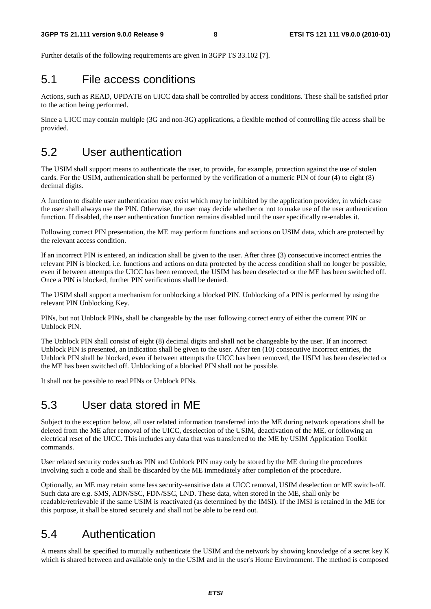Further details of the following requirements are given in 3GPP TS 33.102 [7].

#### 5.1 File access conditions

Actions, such as READ, UPDATE on UICC data shall be controlled by access conditions. These shall be satisfied prior to the action being performed.

Since a UICC may contain multiple (3G and non-3G) applications, a flexible method of controlling file access shall be provided.

### 5.2 User authentication

The USIM shall support means to authenticate the user, to provide, for example, protection against the use of stolen cards. For the USIM, authentication shall be performed by the verification of a numeric PIN of four (4) to eight (8) decimal digits.

A function to disable user authentication may exist which may be inhibited by the application provider, in which case the user shall always use the PIN. Otherwise, the user may decide whether or not to make use of the user authentication function. If disabled, the user authentication function remains disabled until the user specifically re-enables it.

Following correct PIN presentation, the ME may perform functions and actions on USIM data, which are protected by the relevant access condition.

If an incorrect PIN is entered, an indication shall be given to the user. After three (3) consecutive incorrect entries the relevant PIN is blocked, i.e. functions and actions on data protected by the access condition shall no longer be possible, even if between attempts the UICC has been removed, the USIM has been deselected or the ME has been switched off. Once a PIN is blocked, further PIN verifications shall be denied.

The USIM shall support a mechanism for unblocking a blocked PIN. Unblocking of a PIN is performed by using the relevant PIN Unblocking Key.

PINs, but not Unblock PINs, shall be changeable by the user following correct entry of either the current PIN or Unblock PIN.

The Unblock PIN shall consist of eight (8) decimal digits and shall not be changeable by the user. If an incorrect Unblock PIN is presented, an indication shall be given to the user. After ten (10) consecutive incorrect entries, the Unblock PIN shall be blocked, even if between attempts the UICC has been removed, the USIM has been deselected or the ME has been switched off. Unblocking of a blocked PIN shall not be possible.

It shall not be possible to read PINs or Unblock PINs.

### 5.3 User data stored in ME

Subject to the exception below, all user related information transferred into the ME during network operations shall be deleted from the ME after removal of the UICC, deselection of the USIM, deactivation of the ME, or following an electrical reset of the UICC. This includes any data that was transferred to the ME by USIM Application Toolkit commands.

User related security codes such as PIN and Unblock PIN may only be stored by the ME during the procedures involving such a code and shall be discarded by the ME immediately after completion of the procedure.

Optionally, an ME may retain some less security-sensitive data at UICC removal, USIM deselection or ME switch-off. Such data are e.g. SMS, ADN/SSC, FDN/SSC, LND. These data, when stored in the ME, shall only be readable/retrievable if the same USIM is reactivated (as determined by the IMSI). If the IMSI is retained in the ME for this purpose, it shall be stored securely and shall not be able to be read out.

### 5.4 Authentication

A means shall be specified to mutually authenticate the USIM and the network by showing knowledge of a secret key K which is shared between and available only to the USIM and in the user's Home Environment. The method is composed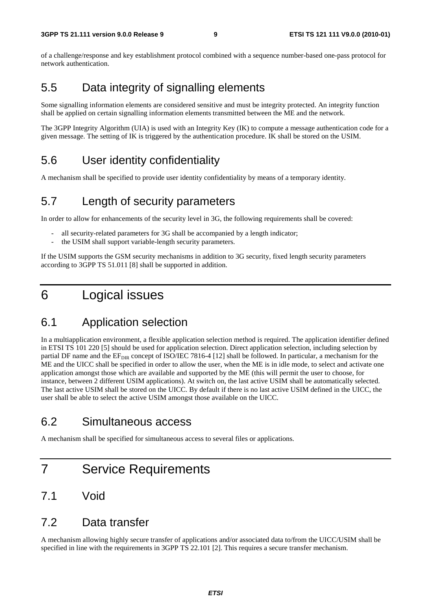of a challenge/response and key establishment protocol combined with a sequence number-based one-pass protocol for network authentication.

### 5.5 Data integrity of signalling elements

Some signalling information elements are considered sensitive and must be integrity protected. An integrity function shall be applied on certain signalling information elements transmitted between the ME and the network.

The 3GPP Integrity Algorithm (UIA) is used with an Integrity Key (IK) to compute a message authentication code for a given message. The setting of IK is triggered by the authentication procedure. IK shall be stored on the USIM.

### 5.6 User identity confidentiality

A mechanism shall be specified to provide user identity confidentiality by means of a temporary identity.

### 5.7 Length of security parameters

In order to allow for enhancements of the security level in 3G, the following requirements shall be covered:

- all security-related parameters for 3G shall be accompanied by a length indicator;
- the USIM shall support variable-length security parameters.

If the USIM supports the GSM security mechanisms in addition to 3G security, fixed length security parameters according to 3GPP TS 51.011 [8] shall be supported in addition.

# 6 Logical issues

### 6.1 Application selection

In a multiapplication environment, a flexible application selection method is required. The application identifier defined in ETSI TS 101 220 [5] should be used for application selection. Direct application selection, including selection by partial DF name and the  $EF_{DR}$  concept of ISO/IEC 7816-4 [12] shall be followed. In particular, a mechanism for the ME and the UICC shall be specified in order to allow the user, when the ME is in idle mode, to select and activate one application amongst those which are available and supported by the ME (this will permit the user to choose, for instance, between 2 different USIM applications). At switch on, the last active USIM shall be automatically selected. The last active USIM shall be stored on the UICC. By default if there is no last active USIM defined in the UICC, the user shall be able to select the active USIM amongst those available on the UICC.

### 6.2 Simultaneous access

A mechanism shall be specified for simultaneous access to several files or applications.

# 7 Service Requirements

### 7.1 Void

#### 7.2 Data transfer

A mechanism allowing highly secure transfer of applications and/or associated data to/from the UICC/USIM shall be specified in line with the requirements in 3GPP TS 22.101 [2]. This requires a secure transfer mechanism.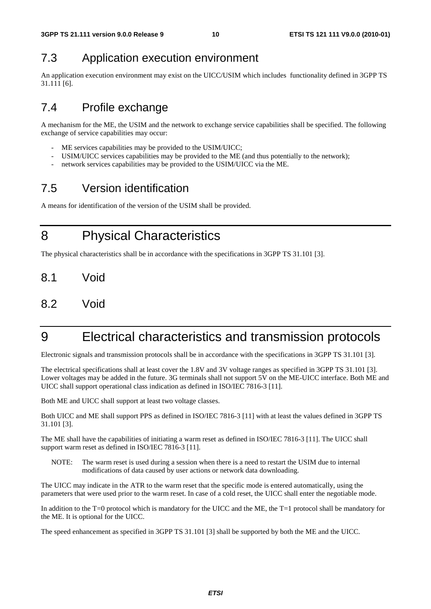# 7.3 Application execution environment

An application execution environment may exist on the UICC/USIM which includes functionality defined in 3GPP TS 31.111 [6].

# 7.4 Profile exchange

A mechanism for the ME, the USIM and the network to exchange service capabilities shall be specified. The following exchange of service capabilities may occur:

- ME services capabilities may be provided to the USIM/UICC;
- USIM/UICC services capabilities may be provided to the ME (and thus potentially to the network);
- network services capabilities may be provided to the USIM/UICC via the ME.

# 7.5 Version identification

A means for identification of the version of the USIM shall be provided.

8 Physical Characteristics

The physical characteristics shall be in accordance with the specifications in 3GPP TS 31.101 [3].

- 8.1 Void
- 8.2 Void

# 9 Electrical characteristics and transmission protocols

Electronic signals and transmission protocols shall be in accordance with the specifications in 3GPP TS 31.101 [3].

The electrical specifications shall at least cover the 1.8V and 3V voltage ranges as specified in 3GPP TS 31.101 [3]. Lower voltages may be added in the future. 3G terminals shall not support 5V on the ME-UICC interface. Both ME and UICC shall support operational class indication as defined in ISO/IEC 7816-3 [11].

Both ME and UICC shall support at least two voltage classes.

Both UICC and ME shall support PPS as defined in ISO/IEC 7816-3 [11] with at least the values defined in 3GPP TS 31.101 [3].

The ME shall have the capabilities of initiating a warm reset as defined in ISO/IEC 7816-3 [11]. The UICC shall support warm reset as defined in ISO/IEC 7816-3 [11].

NOTE: The warm reset is used during a session when there is a need to restart the USIM due to internal modifications of data caused by user actions or network data downloading.

The UICC may indicate in the ATR to the warm reset that the specific mode is entered automatically, using the parameters that were used prior to the warm reset. In case of a cold reset, the UICC shall enter the negotiable mode.

In addition to the T=0 protocol which is mandatory for the UICC and the ME, the T=1 protocol shall be mandatory for the ME. It is optional for the UICC.

The speed enhancement as specified in 3GPP TS 31.101 [3] shall be supported by both the ME and the UICC.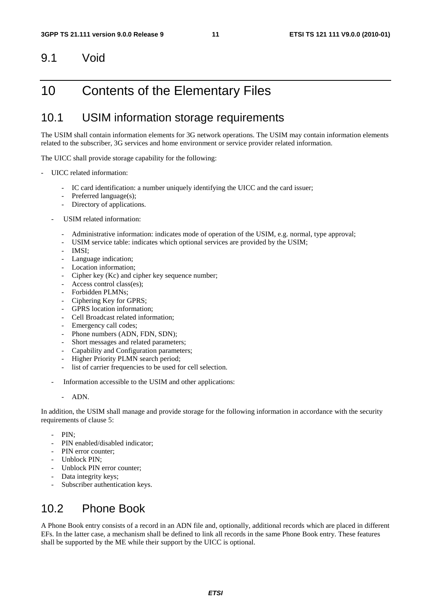### 9.1 Void

# 10 Contents of the Elementary Files

### 10.1 USIM information storage requirements

The USIM shall contain information elements for 3G network operations. The USIM may contain information elements related to the subscriber, 3G services and home environment or service provider related information.

The UICC shall provide storage capability for the following:

- UICC related information:
	- IC card identification: a number uniquely identifying the UICC and the card issuer;
	- Preferred language(s);
	- Directory of applications.
	- USIM related information:
		- Administrative information: indicates mode of operation of the USIM, e.g. normal, type approval;
		- USIM service table: indicates which optional services are provided by the USIM;
		- IMSI:
		- Language indication;
		- Location information:
		- Cipher key (Kc) and cipher key sequence number;
		- Access control class(es);
		- Forbidden PLMNs;
		- Ciphering Key for GPRS;
		- GPRS location information:
		- Cell Broadcast related information:
		- Emergency call codes;
		- Phone numbers (ADN, FDN, SDN);
		- Short messages and related parameters;
		- Capability and Configuration parameters;
		- Higher Priority PLMN search period;
		- list of carrier frequencies to be used for cell selection.
	- Information accessible to the USIM and other applications:
		- ADN.

In addition, the USIM shall manage and provide storage for the following information in accordance with the security requirements of clause 5:

- PIN:
- PIN enabled/disabled indicator;
- PIN error counter:
- Unblock PIN;
- Unblock PIN error counter;
- Data integrity keys;
- Subscriber authentication keys.

### 10.2 Phone Book

A Phone Book entry consists of a record in an ADN file and, optionally, additional records which are placed in different EFs. In the latter case, a mechanism shall be defined to link all records in the same Phone Book entry. These features shall be supported by the ME while their support by the UICC is optional.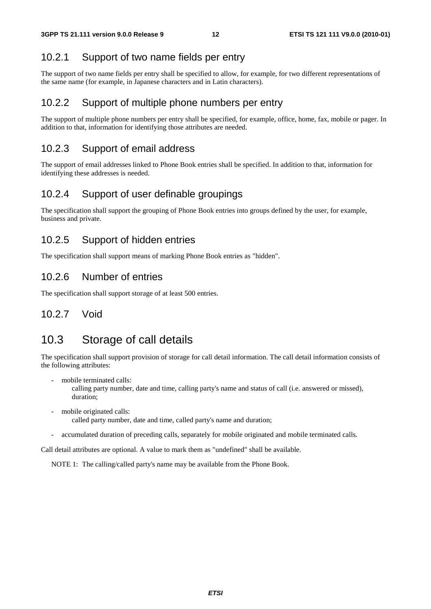#### 10.2.1 Support of two name fields per entry

The support of two name fields per entry shall be specified to allow, for example, for two different representations of the same name (for example, in Japanese characters and in Latin characters).

#### 10.2.2 Support of multiple phone numbers per entry

The support of multiple phone numbers per entry shall be specified, for example, office, home, fax, mobile or pager. In addition to that, information for identifying those attributes are needed.

#### 10.2.3 Support of email address

The support of email addresses linked to Phone Book entries shall be specified. In addition to that, information for identifying these addresses is needed.

#### 10.2.4 Support of user definable groupings

The specification shall support the grouping of Phone Book entries into groups defined by the user, for example, business and private.

#### 10.2.5 Support of hidden entries

The specification shall support means of marking Phone Book entries as "hidden".

#### 10.2.6 Number of entries

The specification shall support storage of at least 500 entries.

#### 10.2.7 Void

### 10.3 Storage of call details

The specification shall support provision of storage for call detail information. The call detail information consists of the following attributes:

mobile terminated calls:

 calling party number, date and time, calling party's name and status of call (i.e. answered or missed), duration;

- mobile originated calls: called party number, date and time, called party's name and duration;
- accumulated duration of preceding calls, separately for mobile originated and mobile terminated calls.

Call detail attributes are optional. A value to mark them as "undefined" shall be available.

NOTE 1: The calling/called party's name may be available from the Phone Book.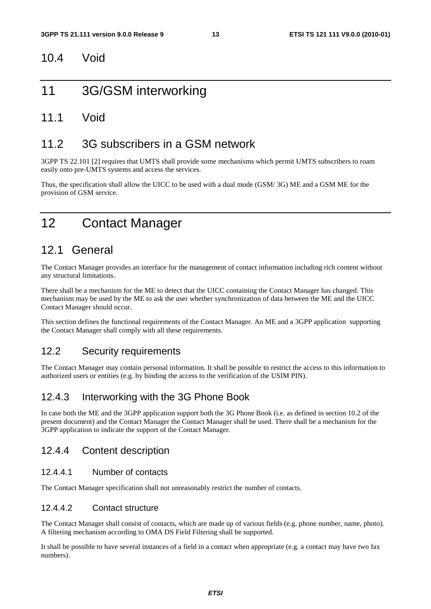#### 10.4 Void

# 11 3G/GSM interworking

#### 11.1 Void

### 11.2 3G subscribers in a GSM network

3GPP TS 22.101 [2] requires that UMTS shall provide some mechanisms which permit UMTS subscribers to roam easily onto pre-UMTS systems and access the services.

Thus, the specification shall allow the UICC to be used with a dual mode (GSM/ 3G) ME and a GSM ME for the provision of GSM service.

# 12 Contact Manager

### 12.1 General

The Contact Manager provides an interface for the management of contact information including rich content without any structural limitations.

There shall be a mechanism for the ME to detect that the UICC containing the Contact Manager has changed. This mechanism may be used by the ME to ask the user whether synchronization of data between the ME and the UICC Contact Manager should occur.

This section defines the functional requirements of the Contact Manager. An ME and a 3GPP application supporting the Contact Manager shall comply with all these requirements.

#### 12.2 Security requirements

The Contact Manager may contain personal information. It shall be possible to restrict the access to this information to authorized users or entities (e.g. by binding the access to the verification of the USIM PIN).

#### 12.4.3 Interworking with the 3G Phone Book

In case both the ME and the 3GPP application support both the 3G Phone Book (i.e. as defined in section 10.2 of the present document) and the Contact Manager the Contact Manager shall be used. There shall be a mechanism for the 3GPP application to indicate the support of the Contact Manager.

#### 12.4.4 Content description

#### 12.4.4.1 Number of contacts

The Contact Manager specification shall not unreasonably restrict the number of contacts.

#### 12.4.4.2 Contact structure

The Contact Manager shall consist of contacts, which are made up of various fields (e.g. phone number, name, photo). A filtering mechanism according to OMA DS Field Filtering shall be supported.

It shall be possible to have several instances of a field in a contact when appropriate (e.g. a contact may have two fax numbers).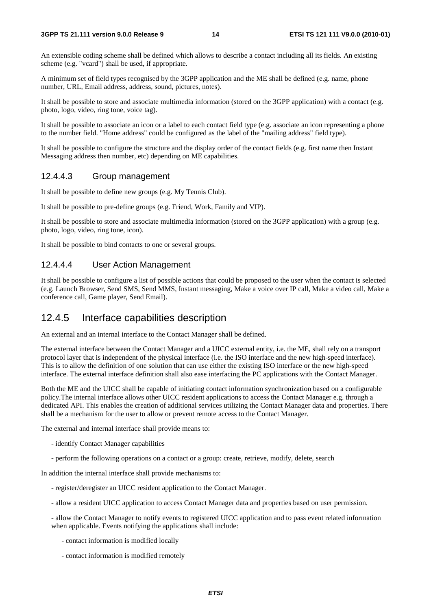An extensible coding scheme shall be defined which allows to describe a contact including all its fields. An existing scheme (e.g. "vcard") shall be used, if appropriate.

A minimum set of field types recognised by the 3GPP application and the ME shall be defined (e.g. name, phone number, URL, Email address, address, sound, pictures, notes).

It shall be possible to store and associate multimedia information (stored on the 3GPP application) with a contact (e.g. photo, logo, video, ring tone, voice tag).

It shall be possible to associate an icon or a label to each contact field type (e.g. associate an icon representing a phone to the number field. "Home address" could be configured as the label of the "mailing address" field type).

It shall be possible to configure the structure and the display order of the contact fields (e.g. first name then Instant Messaging address then number, etc) depending on ME capabilities.

#### 12.4.4.3 Group management

It shall be possible to define new groups (e.g. My Tennis Club).

It shall be possible to pre-define groups (e.g. Friend, Work, Family and VIP).

It shall be possible to store and associate multimedia information (stored on the 3GPP application) with a group (e.g. photo, logo, video, ring tone, icon).

It shall be possible to bind contacts to one or several groups.

#### 12.4.4.4 User Action Management

It shall be possible to configure a list of possible actions that could be proposed to the user when the contact is selected (e.g. Launch Browser, Send SMS, Send MMS, Instant messaging, Make a voice over IP call, Make a video call, Make a conference call, Game player, Send Email).

#### 12.4.5 Interface capabilities description

An external and an internal interface to the Contact Manager shall be defined.

The external interface between the Contact Manager and a UICC external entity, i.e. the ME, shall rely on a transport protocol layer that is independent of the physical interface (i.e. the ISO interface and the new high-speed interface). This is to allow the definition of one solution that can use either the existing ISO interface or the new high-speed interface. The external interface definition shall also ease interfacing the PC applications with the Contact Manager.

Both the ME and the UICC shall be capable of initiating contact information synchronization based on a configurable policy.The internal interface allows other UICC resident applications to access the Contact Manager e.g. through a dedicated API. This enables the creation of additional services utilizing the Contact Manager data and properties. There shall be a mechanism for the user to allow or prevent remote access to the Contact Manager.

The external and internal interface shall provide means to:

- identify Contact Manager capabilities
- perform the following operations on a contact or a group: create, retrieve, modify, delete, search

In addition the internal interface shall provide mechanisms to:

- register/deregister an UICC resident application to the Contact Manager.
- allow a resident UICC application to access Contact Manager data and properties based on user permission.

- allow the Contact Manager to notify events to registered UICC application and to pass event related information when applicable. Events notifying the applications shall include:

- contact information is modified locally
- contact information is modified remotely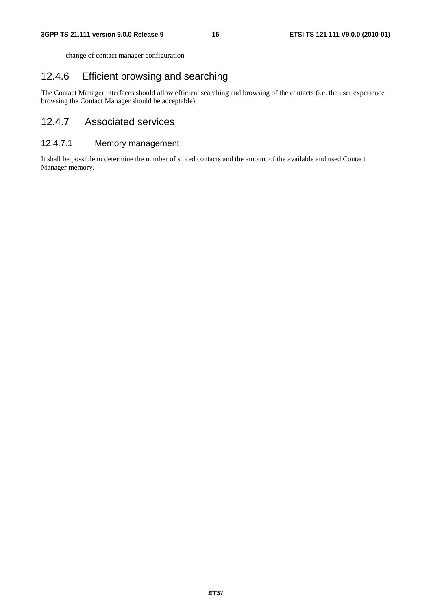- change of contact manager configuration

#### 12.4.6 Efficient browsing and searching

The Contact Manager interfaces should allow efficient searching and browsing of the contacts (i.e. the user experience browsing the Contact Manager should be acceptable).

#### 12.4.7 Associated services

#### 12.4.7.1 Memory management

It shall be possible to determine the number of stored contacts and the amount of the available and used Contact Manager memory.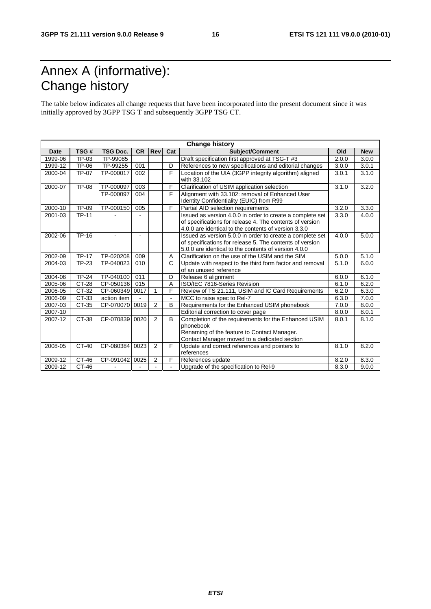# Annex A (informative): Change history

The table below indicates all change requests that have been incorporated into the present document since it was initially approved by 3GPP TSG T and subsequently 3GPP TSG CT.

| <b>Change history</b> |              |                 |           |                |     |                                                           |       |            |
|-----------------------|--------------|-----------------|-----------|----------------|-----|-----------------------------------------------------------|-------|------------|
| <b>Date</b>           | TSG#         | <b>TSG Doc.</b> | <b>CR</b> | Rev            | Cat | Subject/Comment                                           | Old   | <b>New</b> |
| 1999-06               | TP-03        | TP-99085        |           |                |     | Draft specification first approved at TSG-T #3            | 2.0.0 | 3.0.0      |
| 1999-12               | TP-06        | TP-99255        | 001       |                | D   | References to new specifications and editorial changes    | 3.0.0 | 3.0.1      |
| 2000-04               | <b>TP-07</b> | TP-000017       | 002       |                | F   | Location of the UIA (3GPP integrity algorithm) aligned    | 3.0.1 | 3.1.0      |
|                       |              |                 |           |                |     | with 33.102                                               |       |            |
| 2000-07               | <b>TP-08</b> | TP-000097       | 003       |                | F   | Clarification of USIM application selection               | 3.1.0 | 3.2.0      |
|                       |              | TP-000097       | 004       |                | F   | Alignment with 33.102: removal of Enhanced User           |       |            |
|                       |              |                 |           |                |     | Identity Confidentiality (EUIC) from R99                  |       |            |
| 2000-10               | TP-09        | TP-000150       | 005       |                | F   | Partial AID selection requirements                        | 3.2.0 | 3.3.0      |
| 2001-03               | <b>TP-11</b> |                 |           |                |     | Issued as version 4.0.0 in order to create a complete set | 3.3.0 | 4.0.0      |
|                       |              |                 |           |                |     | of specifications for release 4. The contents of version  |       |            |
|                       |              |                 |           |                |     | 4.0.0 are identical to the contents of version 3.3.0      |       |            |
| 2002-06               | TP-16        |                 |           |                |     | Issued as version 5.0.0 in order to create a complete set | 4.0.0 | 5.0.0      |
|                       |              |                 |           |                |     | of specifications for release 5. The contents of version  |       |            |
|                       |              |                 |           |                |     | 5.0.0 are identical to the contents of version 4.0.0      |       |            |
| 2002-09               | <b>TP-17</b> | TP-020208       | 009       |                | A   | Clarification on the use of the USIM and the SIM          | 5.0.0 | 5.1.0      |
| 2004-03               | TP-23        | TP-040023       | 010       |                | C   | Update with respect to the third form factor and removal  | 5.1.0 | 6.0.0      |
|                       |              |                 |           |                |     | of an unused reference                                    |       |            |
| 2004-06               | <b>TP-24</b> | TP-040100       | 011       |                | D   | Release 6 alignment                                       | 6.0.0 | 6.1.0      |
| 2005-06               | CT-28        | CP-050136       | 015       |                | A   | ISO/IEC 7816-Series Revision                              | 6.1.0 | 6.2.0      |
| 2006-05               | CT-32        | CP-060349       | 0017      | 1              | F   | Review of TS 21.111, USIM and IC Card Requirements        | 6.2.0 | 6.3.0      |
| 2006-09               | CT-33        | action item     |           |                |     | MCC to raise spec to Rel-7                                | 6.3.0 | 7.0.0      |
| 2007-03               | CT-35        | CP-070070       | 0019      | $\overline{2}$ | B   | Requirements for the Enhanced USIM phonebook              | 7.0.0 | 8.0.0      |
| 2007-10               |              |                 |           |                |     | Editorial correction to cover page                        | 8.0.0 | 8.0.1      |
| 2007-12               | CT-38        | CP-070839       | 0020      | 2              | B   | Completion of the requirements for the Enhanced USIM      | 8.0.1 | 8.1.0      |
|                       |              |                 |           |                |     | phonebook                                                 |       |            |
|                       |              |                 |           |                |     | Renaming of the feature to Contact Manager.               |       |            |
|                       |              |                 |           |                |     | Contact Manager moved to a dedicated section              |       |            |
| 2008-05               | $CT-40$      | CP-080384       | 0023      | 2              | F   | Update and correct references and pointers to             | 8.1.0 | 8.2.0      |
|                       |              |                 |           |                |     | references                                                |       |            |
| 2009-12               | CT-46        | CP-091042       | 0025      | 2              | F   | References update                                         | 8.2.0 | 8.3.0      |
| 2009-12               | CT-46        |                 |           |                |     | Upgrade of the specification to Rel-9                     | 8.3.0 | 9.0.0      |